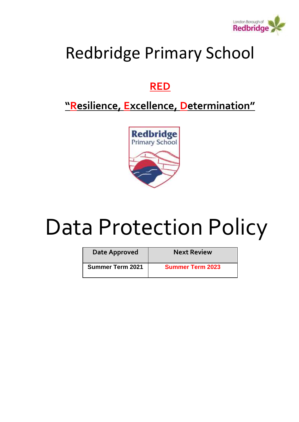

## Redbridge Primary School

## **RED**

## **"Resilience, Excellence, Determination"**



# Data Protection Policy

| Date Approved           | <b>Next Review</b>      |
|-------------------------|-------------------------|
| <b>Summer Term 2021</b> | <b>Summer Term 2023</b> |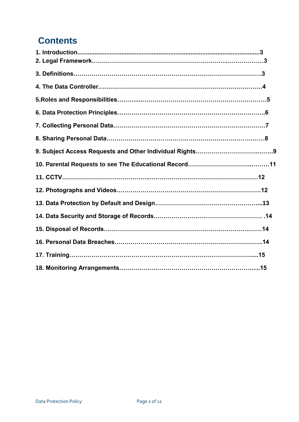### **Contents**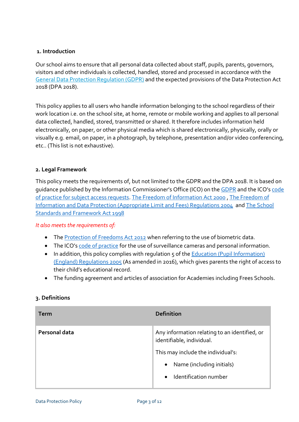#### <span id="page-2-0"></span>**1. Introduction**

Our school aims to ensure that all personal data collected about staff, pupils, parents, governors, visitors and other individuals is collected, handled, stored and processed in accordance with the [General Data Protection Regulation \(GDPR\)](http://data.consilium.europa.eu/doc/document/ST-5419-2016-INIT/en/pdf) and the expected provisions of the Data Protection Act 2018 (DPA 2018).

This policy applies to all users who handle information belonging to the school regardless of their work location i.e. on the school site, at home, remote or mobile working and applies to all personal data collected, handled, stored, transmitted or shared. It therefore includes information held electronically, on paper, or other physical media which is shared electronically, physically, orally or visually e.g. email, on paper, in a photograph, by telephone, presentation and/or video conferencing, etc.. (This list is not exhaustive).

#### **2. Legal Framework**

This policy meets the requirements of, but not limited to the GDPR and the DPA 2018. It is based on guidance published by the Information Commissioner's Office (ICO) on the [GDPR](https://ico.org.uk/for-organisations/guide-to-the-general-data-protection-regulation-gdpr/) and the ICO's [code](https://ico.org.uk/media/for-organisations/documents/2014223/subject-access-code-of-practice.pdf)  [of practice for subject access requests.](https://ico.org.uk/media/for-organisations/documents/2014223/subject-access-code-of-practice.pdf) [The Freedom of Information Act 2000](https://ico.org.uk/media/for-organisations/guide-to-freedom-of-information-4-9.pdf) , [The Freedom of](https://ico.org.uk/media/1168/fees_cost_of_compliance_appropriate_limit.pdf)  [Information and Data Protection \(Appropriate Limit and Fees\) Regulations 2004](https://ico.org.uk/media/1168/fees_cost_of_compliance_appropriate_limit.pdf) an[d The School](http://www.legislation.gov.uk/ukpga/1998/31/pdfs/ukpga_19980031_en.pdf)  [Standards and Framework Act 1998](http://www.legislation.gov.uk/ukpga/1998/31/pdfs/ukpga_19980031_en.pdf)

#### *It also meets the requirements of:*

- Th[e Protection of Freedoms Act 2012](https://www.legislation.gov.uk/ukpga/2012/9/part/1/chapter/2) when referring to the use of biometric data.
- The ICO's [code of practice](https://ico.org.uk/media/for-organisations/documents/1542/cctv-code-of-practice.pdf) for the use of surveillance cameras and personal information.
- In addition, this policy complies with regulation 5 of the Education (Pupil Information) [\(England\) Regulations 2005](http://www.legislation.gov.uk/uksi/2005/1437/regulation/5/made) (As amended in 2016), which gives parents the right of access to their child's educational record.
- The funding agreement and articles of association for Academies including Frees Schools.

| <b>Term</b>   | <b>Definition</b>                                                          |
|---------------|----------------------------------------------------------------------------|
| Personal data | Any information relating to an identified, or<br>identifiable, individual. |
|               | This may include the individual's:                                         |
|               | Name (including initials)<br>$\bullet$                                     |
|               | Identification number<br>$\bullet$                                         |

#### **3. Definitions**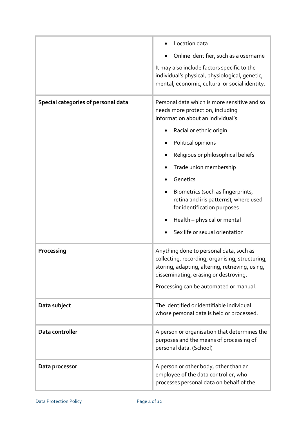|                                     | Location data<br>Online identifier, such as a username                                                                                                                                                                           |
|-------------------------------------|----------------------------------------------------------------------------------------------------------------------------------------------------------------------------------------------------------------------------------|
|                                     | It may also include factors specific to the<br>individual's physical, physiological, genetic,<br>mental, economic, cultural or social identity.                                                                                  |
| Special categories of personal data | Personal data which is more sensitive and so<br>needs more protection, including<br>information about an individual's:                                                                                                           |
|                                     | Racial or ethnic origin                                                                                                                                                                                                          |
|                                     | Political opinions                                                                                                                                                                                                               |
|                                     | Religious or philosophical beliefs                                                                                                                                                                                               |
|                                     | Trade union membership                                                                                                                                                                                                           |
|                                     | Genetics                                                                                                                                                                                                                         |
|                                     | Biometrics (such as fingerprints,<br>retina and iris patterns), where used<br>for identification purposes                                                                                                                        |
|                                     | Health - physical or mental                                                                                                                                                                                                      |
|                                     | Sex life or sexual orientation                                                                                                                                                                                                   |
| Processing                          | Anything done to personal data, such as<br>collecting, recording, organising, structuring,<br>storing, adapting, altering, retrieving, using,<br>disseminating, erasing or destroying.<br>Processing can be automated or manual. |
| Data subject                        | The identified or identifiable individual<br>whose personal data is held or processed.                                                                                                                                           |
| Data controller                     | A person or organisation that determines the<br>purposes and the means of processing of<br>personal data. (School)                                                                                                               |
| Data processor                      | A person or other body, other than an<br>employee of the data controller, who<br>processes personal data on behalf of the                                                                                                        |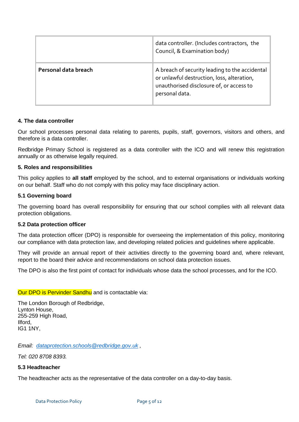|                      | data controller. (Includes contractors, the<br>Council, & Examination body)                                                                                |
|----------------------|------------------------------------------------------------------------------------------------------------------------------------------------------------|
| Personal data breach | A breach of security leading to the accidental<br>or unlawful destruction, loss, alteration,<br>unauthorised disclosure of, or access to<br>personal data. |

#### **4. The data controller**

Our school processes personal data relating to parents, pupils, staff, governors, visitors and others, and therefore is a data controller.

Redbridge Primary School is registered as a data controller with the ICO and will renew this registration annually or as otherwise legally required.

#### **5. Roles and responsibilities**

This policy applies to **all staff** employed by the school, and to external organisations or individuals working on our behalf. Staff who do not comply with this policy may face disciplinary action.

#### **5.1 Governing board**

The governing board has overall responsibility for ensuring that our school complies with all relevant data protection obligations.

#### **5.2 Data protection officer**

The data protection officer (DPO) is responsible for overseeing the implementation of this policy, monitoring our compliance with data protection law, and developing related policies and guidelines where applicable.

They will provide an annual report of their activities directly to the governing board and, where relevant, report to the board their advice and recommendations on school data protection issues.

The DPO is also the first point of contact for individuals whose data the school processes, and for the ICO.

#### Our DPO is Pervinder Sandhu and is contactable via:

The London Borough of Redbridge, Lynton House, 255-259 High Road, Ilford, IG1 1NY,

*Email: [dataprotection.schools@redbridge.gov.uk](mailto:dataprotection.schools@redbridge.gov.uk) ,* 

*Tel: 020 8708 8393.*

#### **5.3 Headteacher**

The headteacher acts as the representative of the data controller on a day-to-day basis.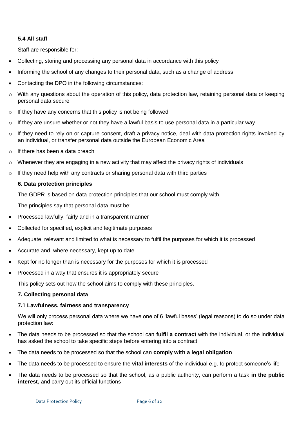#### **5.4 All staff**

Staff are responsible for:

- Collecting, storing and processing any personal data in accordance with this policy
- Informing the school of any changes to their personal data, such as a change of address
- Contacting the DPO in the following circumstances:
- o With any questions about the operation of this policy, data protection law, retaining personal data or keeping personal data secure
- $\circ$  If they have any concerns that this policy is not being followed
- $\circ$  If they are unsure whether or not they have a lawful basis to use personal data in a particular way
- $\circ$  If they need to rely on or capture consent, draft a privacy notice, deal with data protection rights invoked by an individual, or transfer personal data outside the European Economic Area
- o If there has been a data breach
- $\circ$  Whenever they are engaging in a new activity that may affect the privacy rights of individuals
- $\circ$  If they need help with any contracts or sharing personal data with third parties

#### **6. Data protection principles**

The GDPR is based on data protection principles that our school must comply with.

The principles say that personal data must be:

- Processed lawfully, fairly and in a transparent manner
- Collected for specified, explicit and legitimate purposes
- Adequate, relevant and limited to what is necessary to fulfil the purposes for which it is processed
- Accurate and, where necessary, kept up to date
- Kept for no longer than is necessary for the purposes for which it is processed
- Processed in a way that ensures it is appropriately secure

This policy sets out how the school aims to comply with these principles.

#### **7. Collecting personal data**

#### **7.1 Lawfulness, fairness and transparency**

We will only process personal data where we have one of 6 'lawful bases' (legal reasons) to do so under data protection law:

- The data needs to be processed so that the school can **fulfil a contract** with the individual, or the individual has asked the school to take specific steps before entering into a contract
- The data needs to be processed so that the school can **comply with a legal obligation**
- The data needs to be processed to ensure the **vital interests** of the individual e.g. to protect someone's life
- The data needs to be processed so that the school, as a public authority, can perform a task **in the public interest,** and carry out its official functions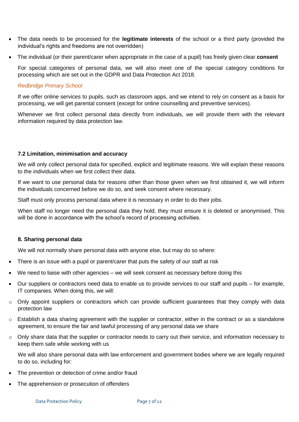- The data needs to be processed for the **legitimate interests** of the school or a third party (provided the individual's rights and freedoms are not overridden)
- The individual (or their parent/carer when appropriate in the case of a pupil) has freely given clear **consent**

For special categories of personal data, we will also meet one of the special category conditions for processing which are set out in the GDPR and Data Protection Act 2018.

#### *Redbridge Primary School*

If we offer online services to pupils, such as classroom apps, and we intend to rely on consent as a basis for processing, we will get parental consent (except for online counselling and preventive services).

Whenever we first collect personal data directly from individuals, we will provide them with the relevant information required by data protection law.

#### **7.2 Limitation, minimisation and accuracy**

We will only collect personal data for specified, explicit and legitimate reasons. We will explain these reasons to the individuals when we first collect their data.

If we want to use personal data for reasons other than those given when we first obtained it, we will inform the individuals concerned before we do so, and seek consent where necessary.

Staff must only process personal data where it is necessary in order to do their jobs.

When staff no longer need the personal data they hold, they must ensure it is deleted or anonymised. This will be done in accordance with the school's record of processing activities.

#### **8. Sharing personal data**

We will not normally share personal data with anyone else, but may do so where:

- There is an issue with a pupil or parent/carer that puts the safety of our staff at risk
- We need to liaise with other agencies we will seek consent as necessary before doing this
- Our suppliers or contractors need data to enable us to provide services to our staff and pupils for example, IT companies. When doing this, we will:
- o Only appoint suppliers or contractors which can provide sufficient guarantees that they comply with data protection law
- o Establish a data sharing agreement with the supplier or contractor, either in the contract or as a standalone agreement, to ensure the fair and lawful processing of any personal data we share
- o Only share data that the supplier or contractor needs to carry out their service, and information necessary to keep them safe while working with us

We will also share personal data with law enforcement and government bodies where we are legally required to do so, including for:

- The prevention or detection of crime and/or fraud
- The apprehension or prosecution of offenders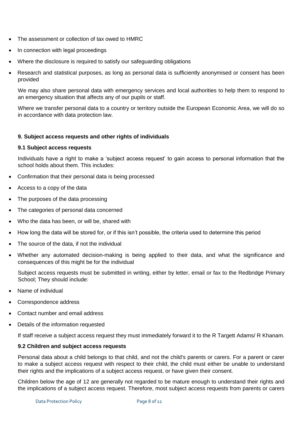- The assessment or collection of tax owed to HMRC
- In connection with legal proceedings
- Where the disclosure is required to satisfy our safeguarding obligations
- Research and statistical purposes, as long as personal data is sufficiently anonymised or consent has been provided

We may also share personal data with emergency services and local authorities to help them to respond to an emergency situation that affects any of our pupils or staff.

Where we transfer personal data to a country or territory outside the European Economic Area, we will do so in accordance with data protection law.

#### **9. Subject access requests and other rights of individuals**

#### **9.1 Subject access requests**

Individuals have a right to make a 'subject access request' to gain access to personal information that the school holds about them. This includes:

- Confirmation that their personal data is being processed
- Access to a copy of the data
- The purposes of the data processing
- The categories of personal data concerned
- Who the data has been, or will be, shared with
- How long the data will be stored for, or if this isn't possible, the criteria used to determine this period
- The source of the data, if not the individual
- Whether any automated decision-making is being applied to their data, and what the significance and consequences of this might be for the individual

Subject access requests must be submitted in writing, either by letter, email or fax to the Redbridge Primary School; They should include:

- Name of individual
- Correspondence address
- Contact number and email address
- Details of the information requested

If staff receive a subject access request they must immediately forward it to the R Targett Adams/ R Khanam.

#### **9.2 Children and subject access requests**

Personal data about a child belongs to that child, and not the child's parents or carers. For a parent or carer to make a subject access request with respect to their child, the child must either be unable to understand their rights and the implications of a subject access request, or have given their consent.

Children below the age of 12 are generally not regarded to be mature enough to understand their rights and the implications of a subject access request. Therefore, most subject access requests from parents or carers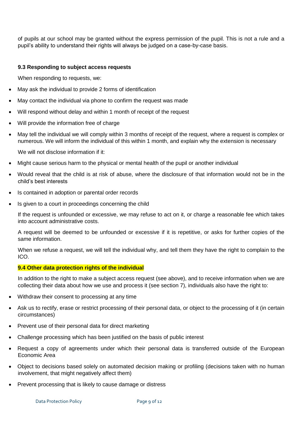of pupils at our school may be granted without the express permission of the pupil. This is not a rule and a pupil's ability to understand their rights will always be judged on a case-by-case basis.

#### **9.3 Responding to subject access requests**

When responding to requests, we:

- May ask the individual to provide 2 forms of identification
- May contact the individual via phone to confirm the request was made
- Will respond without delay and within 1 month of receipt of the request
- Will provide the information free of charge
- May tell the individual we will comply within 3 months of receipt of the request, where a request is complex or numerous. We will inform the individual of this within 1 month, and explain why the extension is necessary

We will not disclose information if it:

- Might cause serious harm to the physical or mental health of the pupil or another individual
- Would reveal that the child is at risk of abuse, where the disclosure of that information would not be in the child's best interests
- Is contained in adoption or parental order records
- Is given to a court in proceedings concerning the child

If the request is unfounded or excessive, we may refuse to act on it, or charge a reasonable fee which takes into account administrative costs.

A request will be deemed to be unfounded or excessive if it is repetitive, or asks for further copies of the same information.

When we refuse a request, we will tell the individual why, and tell them they have the right to complain to the ICO.

#### **9.4 Other data protection rights of the individual**

In addition to the right to make a subject access request (see above), and to receive information when we are collecting their data about how we use and process it (see section 7), individuals also have the right to:

- Withdraw their consent to processing at any time
- Ask us to rectify, erase or restrict processing of their personal data, or object to the processing of it (in certain circumstances)
- Prevent use of their personal data for direct marketing
- Challenge processing which has been justified on the basis of public interest
- Request a copy of agreements under which their personal data is transferred outside of the European Economic Area
- Object to decisions based solely on automated decision making or profiling (decisions taken with no human involvement, that might negatively affect them)
- Prevent processing that is likely to cause damage or distress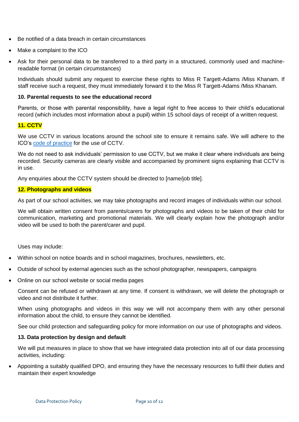- Be notified of a data breach in certain circumstances
- Make a complaint to the ICO
- Ask for their personal data to be transferred to a third party in a structured, commonly used and machinereadable format (in certain circumstances)

Individuals should submit any request to exercise these rights to Miss R Targett-Adams /Miss Khanam. If staff receive such a request, they must immediately forward it to the Miss R Targett-Adams /Miss Khanam.

#### **10. Parental requests to see the educational record**

Parents, or those with parental responsibility, have a legal right to free access to their child's educational record (which includes most information about a pupil) within 15 school days of receipt of a written request.

#### **11. CCTV**

We use CCTV in various locations around the school site to ensure it remains safe. We will adhere to the ICO's [code of practice](https://ico.org.uk/media/for-organisations/documents/1542/cctv-code-of-practice.pdf) for the use of CCTV.

We do not need to ask individuals' permission to use CCTV, but we make it clear where individuals are being recorded. Security cameras are clearly visible and accompanied by prominent signs explaining that CCTV is in use.

Any enquiries about the CCTV system should be directed to [name/job title].

#### **12. Photographs and videos**

As part of our school activities, we may take photographs and record images of individuals within our school.

We will obtain written consent from parents/carers for photographs and videos to be taken of their child for communication, marketing and promotional materials. We will clearly explain how the photograph and/or video will be used to both the parent/carer and pupil.

Uses may include:

- Within school on notice boards and in school magazines, brochures, newsletters, etc.
- Outside of school by external agencies such as the school photographer, newspapers, campaigns
- Online on our school website or social media pages

Consent can be refused or withdrawn at any time. If consent is withdrawn, we will delete the photograph or video and not distribute it further.

When using photographs and videos in this way we will not accompany them with any other personal information about the child, to ensure they cannot be identified.

See our child protection and safeguarding policy for more information on our use of photographs and videos.

#### **13. Data protection by design and default**

We will put measures in place to show that we have integrated data protection into all of our data processing activities, including:

 Appointing a suitably qualified DPO, and ensuring they have the necessary resources to fulfil their duties and maintain their expert knowledge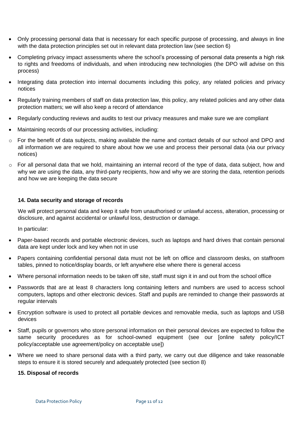- Only processing personal data that is necessary for each specific purpose of processing, and always in line with the data protection principles set out in relevant data protection law (see section 6)
- Completing privacy impact assessments where the school's processing of personal data presents a high risk to rights and freedoms of individuals, and when introducing new technologies (the DPO will advise on this process)
- Integrating data protection into internal documents including this policy, any related policies and privacy notices
- Regularly training members of staff on data protection law, this policy, any related policies and any other data protection matters; we will also keep a record of attendance
- Regularly conducting reviews and audits to test our privacy measures and make sure we are compliant
- Maintaining records of our processing activities, including:
- $\circ$  For the benefit of data subjects, making available the name and contact details of our school and DPO and all information we are required to share about how we use and process their personal data (via our privacy notices)
- o For all personal data that we hold, maintaining an internal record of the type of data, data subject, how and why we are using the data, any third-party recipients, how and why we are storing the data, retention periods and how we are keeping the data secure

#### **14. Data security and storage of records**

We will protect personal data and keep it safe from unauthorised or unlawful access, alteration, processing or disclosure, and against accidental or unlawful loss, destruction or damage.

In particular:

- Paper-based records and portable electronic devices, such as laptops and hard drives that contain personal data are kept under lock and key when not in use
- Papers containing confidential personal data must not be left on office and classroom desks, on staffroom tables, pinned to notice/display boards, or left anywhere else where there is general access
- Where personal information needs to be taken off site, staff must sign it in and out from the school office
- Passwords that are at least 8 characters long containing letters and numbers are used to access school computers, laptops and other electronic devices. Staff and pupils are reminded to change their passwords at regular intervals
- Encryption software is used to protect all portable devices and removable media, such as laptops and USB devices
- Staff, pupils or governors who store personal information on their personal devices are expected to follow the same security procedures as for school-owned equipment (see our [online safety policy/ICT policy/acceptable use agreement/policy on acceptable use])
- Where we need to share personal data with a third party, we carry out due diligence and take reasonable steps to ensure it is stored securely and adequately protected (see section 8)

#### **15. Disposal of records**